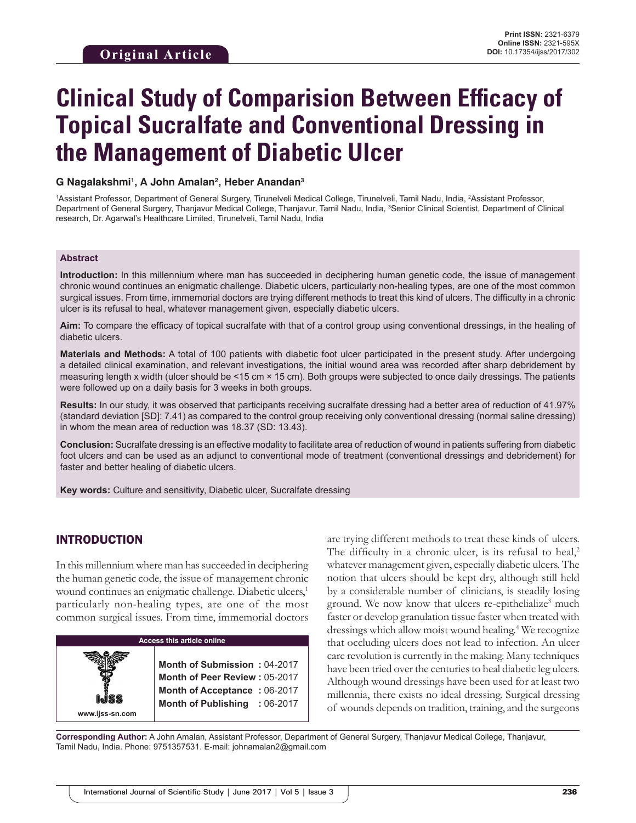# **Clinical Study of Comparision Between Efficacy of Topical Sucralfate and Conventional Dressing in the Management of Diabetic Ulcer**

### **G Nagalakshmi1 , A John Amalan2 , Heber Anandan3**

<sup>1</sup>Assistant Professor, Department of General Surgery, Tirunelveli Medical College, Tirunelveli, Tamil Nadu, India, <sup>2</sup>Assistant Professor, Department of General Surgery, Thanjavur Medical College, Thanjavur, Tamil Nadu, India, <sup>3</sup>Senior Clinical Scientist, Department of Clinical research, Dr. Agarwal's Healthcare Limited, Tirunelveli, Tamil Nadu, India

#### **Abstract**

**Introduction:** In this millennium where man has succeeded in deciphering human genetic code, the issue of management chronic wound continues an enigmatic challenge. Diabetic ulcers, particularly non-healing types, are one of the most common surgical issues. From time, immemorial doctors are trying different methods to treat this kind of ulcers. The difficulty in a chronic ulcer is its refusal to heal, whatever management given, especially diabetic ulcers.

**Aim:** To compare the efficacy of topical sucralfate with that of a control group using conventional dressings, in the healing of diabetic ulcers.

**Materials and Methods:** A total of 100 patients with diabetic foot ulcer participated in the present study. After undergoing a detailed clinical examination, and relevant investigations, the initial wound area was recorded after sharp debridement by measuring length x width (ulcer should be <15 cm × 15 cm). Both groups were subjected to once daily dressings. The patients were followed up on a daily basis for 3 weeks in both groups.

**Results:** In our study, it was observed that participants receiving sucralfate dressing had a better area of reduction of 41.97% (standard deviation [SD]: 7.41) as compared to the control group receiving only conventional dressing (normal saline dressing) in whom the mean area of reduction was 18.37 (SD: 13.43).

**Conclusion:** Sucralfate dressing is an effective modality to facilitate area of reduction of wound in patients suffering from diabetic foot ulcers and can be used as an adjunct to conventional mode of treatment (conventional dressings and debridement) for faster and better healing of diabetic ulcers.

**Key words:** Culture and sensitivity, Diabetic ulcer, Sucralfate dressing

# INTRODUCTION

**www.ijss-sn.com**

In this millennium where man has succeeded in deciphering the human genetic code, the issue of management chronic wound continues an enigmatic challenge. Diabetic ulcers,<sup>1</sup> particularly non-healing types, are one of the most common surgical issues. From time, immemorial doctors

**Access this article online**

**Month of Submission :** 04-2017 **Month of Peer Review :** 05-2017 **Month of Acceptance :** 06-2017 **Month of Publishing :** 06-2017 are trying different methods to treat these kinds of ulcers. The difficulty in a chronic ulcer, is its refusal to heal, $2$ whatever management given, especially diabetic ulcers. The notion that ulcers should be kept dry, although still held by a considerable number of clinicians, is steadily losing ground. We now know that ulcers re-epithelialize<sup>3</sup> much faster or develop granulation tissue faster when treated with dressings which allow moist wound healing.4 We recognize that occluding ulcers does not lead to infection. An ulcer care revolution is currently in the making. Many techniques have been tried over the centuries to heal diabetic leg ulcers. Although wound dressings have been used for at least two millennia, there exists no ideal dressing. Surgical dressing of wounds depends on tradition, training, and the surgeons

**Corresponding Author:** A John Amalan, Assistant Professor, Department of General Surgery, Thanjavur Medical College, Thanjavur, Tamil Nadu, India. Phone: 9751357531. E-mail: johnamalan2@gmail.com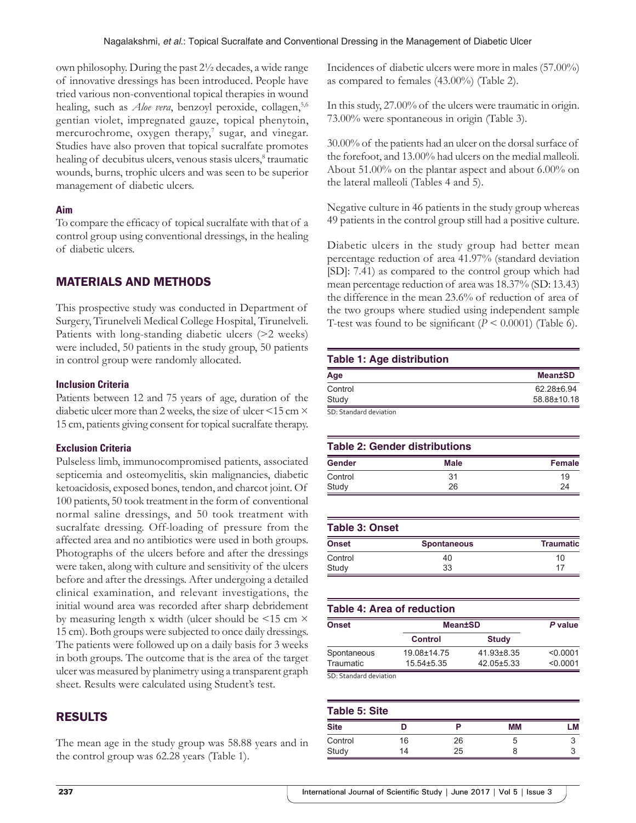own philosophy. During the past 2½ decades, a wide range of innovative dressings has been introduced. People have tried various non-conventional topical therapies in wound healing, such as *Aloe vera*, benzoyl peroxide, collagen,<sup>5,6</sup> gentian violet, impregnated gauze, topical phenytoin, mercurochrome, oxygen therapy,<sup>7</sup> sugar, and vinegar. Studies have also proven that topical sucralfate promotes healing of decubitus ulcers, venous stasis ulcers,<sup>8</sup> traumatic wounds, burns, trophic ulcers and was seen to be superior management of diabetic ulcers.

### **Aim**

To compare the efficacy of topical sucralfate with that of a control group using conventional dressings, in the healing of diabetic ulcers.

# MATERIALS AND METHODS

This prospective study was conducted in Department of Surgery, Tirunelveli Medical College Hospital, Tirunelveli. Patients with long-standing diabetic ulcers (>2 weeks) were included, 50 patients in the study group, 50 patients in control group were randomly allocated.

#### **Inclusion Criteria**

Patients between 12 and 75 years of age, duration of the diabetic ulcer more than 2 weeks, the size of ulcer <15 cm  $\times$ 15 cm, patients giving consent for topical sucralfate therapy.

#### **Exclusion Criteria**

Pulseless limb, immunocompromised patients, associated septicemia and osteomyelitis, skin malignancies, diabetic ketoacidosis, exposed bones, tendon, and charcot joint. Of 100 patients, 50 took treatment in the form of conventional normal saline dressings, and 50 took treatment with sucralfate dressing. Off-loading of pressure from the affected area and no antibiotics were used in both groups. Photographs of the ulcers before and after the dressings were taken, along with culture and sensitivity of the ulcers before and after the dressings. After undergoing a detailed clinical examination, and relevant investigations, the initial wound area was recorded after sharp debridement by measuring length x width (ulcer should be  $\leq$ 15 cm  $\times$ 15 cm). Both groups were subjected to once daily dressings. The patients were followed up on a daily basis for 3 weeks in both groups. The outcome that is the area of the target ulcer was measured by planimetry using a transparent graph sheet. Results were calculated using Student's test.

# RESULTS

The mean age in the study group was 58.88 years and in the control group was 62.28 years (Table 1).

Incidences of diabetic ulcers were more in males (57.00%) as compared to females (43.00%) (Table 2).

In this study, 27.00% of the ulcers were traumatic in origin. 73.00% were spontaneous in origin (Table 3).

30.00% of the patients had an ulcer on the dorsal surface of the forefoot, and 13.00% had ulcers on the medial malleoli. About 51.00% on the plantar aspect and about 6.00% on the lateral malleoli (Tables 4 and 5).

Negative culture in 46 patients in the study group whereas 49 patients in the control group still had a positive culture.

Diabetic ulcers in the study group had better mean percentage reduction of area 41.97% (standard deviation [SD]: 7.41) as compared to the control group which had mean percentage reduction of area was 18.37% (SD: 13.43) the difference in the mean 23.6% of reduction of area of the two groups where studied using independent sample T-test was found to be significant  $(P < 0.0001)$  (Table 6).

### **Table 1: Age distribution**

| Age                  | <b>Mean±SD</b> |
|----------------------|----------------|
| Control              | 62.28±6.94     |
| Study                | 58.88±10.18    |
| CD Ctondord doubtion |                |

SD: Standard deviation

| <b>Table 2: Gender distributions</b> |      |        |  |
|--------------------------------------|------|--------|--|
| Gender                               | Male | Female |  |
| Control                              | 31   | 19     |  |
| Study                                | 26   | 24     |  |

| Table 3: Onset |                    |                  |  |
|----------------|--------------------|------------------|--|
| Onset          | <b>Spontaneous</b> | <b>Traumatic</b> |  |
| Control        | 40                 | 10               |  |
| Study          | 33                 | 17               |  |

# **Table 4: Area of reduction**

| Onset                  | <b>Mean±SD</b>   | P value          |          |
|------------------------|------------------|------------------|----------|
|                        | <b>Control</b>   | <b>Study</b>     |          |
| Spontaneous            | 19.08±14.75      | $41.93 \pm 8.35$ | < 0.0001 |
| Traumatic              | $15.54 \pm 5.35$ | 42.05±5.33       | < 0.0001 |
| SD: Standard deviation |                  |                  |          |

| <b>Table 5: Site</b> |    |    |    |            |
|----------------------|----|----|----|------------|
| <b>Site</b>          |    |    | MМ | .M         |
| Control              | 16 | 26 | G  |            |
| Study                | 14 | 25 |    | $\sqrt{2}$ |